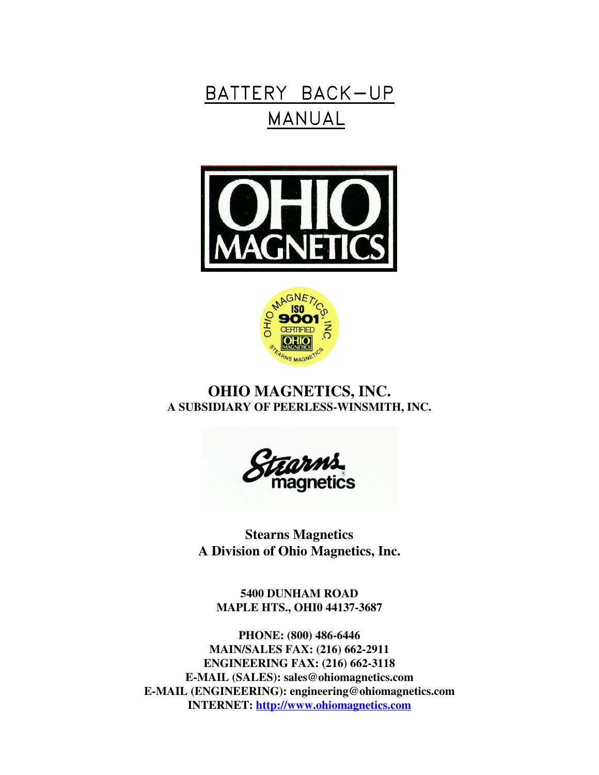# BATTERY BACK-UP MANUAL





## **OHIO MAGNETICS, INC. A SUBSIDIARY OF PEERLESS-WINSMITH, INC.**



**Stearns Magnetics A Division of Ohio Magnetics, Inc.**

**5400 DUNHAM ROAD MAPLE HTS., OHI0 44137-3687**

**PHONE: (800) 486-6446 MAIN/SALES FAX: (216) 662-2911 ENGINEERING FAX: (216) 662-3118 E-MAIL (SALES): sales@ohiomagnetics.com E-MAIL (ENGINEERING): engineering@ohiomagnetics.com INTERNET: http://www.ohiomagnetics.com**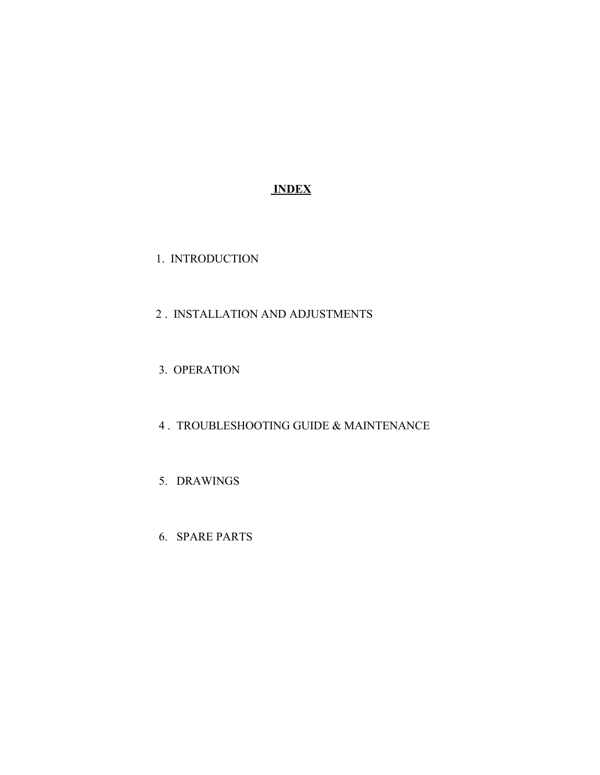## **INDEX**

1. INTRODUCTION

## 2 . INSTALLATION AND ADJUSTMENTS

- 3. OPERATION
- 4 . TROUBLESHOOTING GUIDE & MAINTENANCE
- 5. DRAWINGS
- 6. SPARE PARTS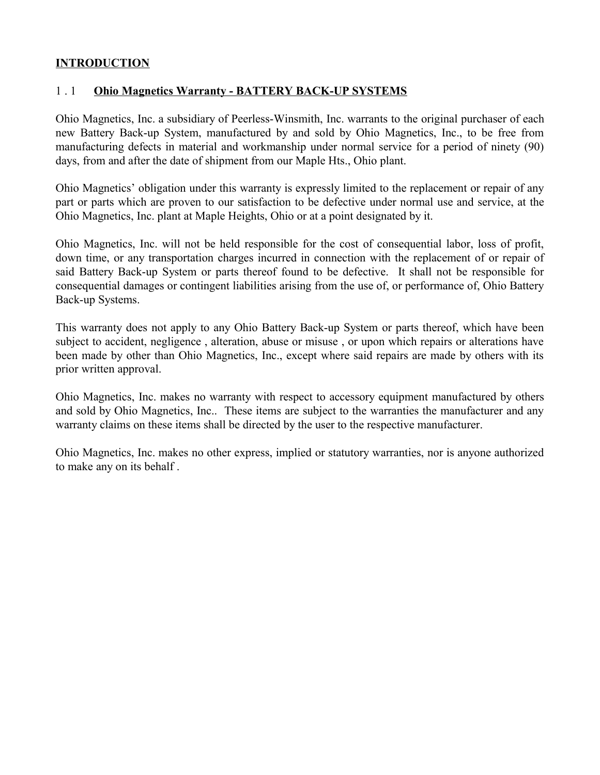## **INTRODUCTION**

#### 1 . 1 **Ohio Magnetics Warranty - BATTERY BACK-UP SYSTEMS**

Ohio Magnetics, Inc. a subsidiary of Peerless-Winsmith, Inc. warrants to the original purchaser of each new Battery Back-up System, manufactured by and sold by Ohio Magnetics, Inc., to be free from manufacturing defects in material and workmanship under normal service for a period of ninety (90) days, from and after the date of shipment from our Maple Hts., Ohio plant.

Ohio Magnetics' obligation under this warranty is expressly limited to the replacement or repair of any part or parts which are proven to our satisfaction to be defective under normal use and service, at the Ohio Magnetics, Inc. plant at Maple Heights, Ohio or at a point designated by it.

Ohio Magnetics, Inc. will not be held responsible for the cost of consequential labor, loss of profit, down time, or any transportation charges incurred in connection with the replacement of or repair of said Battery Back-up System or parts thereof found to be defective. It shall not be responsible for consequential damages or contingent liabilities arising from the use of, or performance of, Ohio Battery Back-up Systems.

This warranty does not apply to any Ohio Battery Back-up System or parts thereof, which have been subject to accident, negligence , alteration, abuse or misuse , or upon which repairs or alterations have been made by other than Ohio Magnetics, Inc., except where said repairs are made by others with its prior written approval.

Ohio Magnetics, Inc. makes no warranty with respect to accessory equipment manufactured by others and sold by Ohio Magnetics, Inc.. These items are subject to the warranties the manufacturer and any warranty claims on these items shall be directed by the user to the respective manufacturer.

Ohio Magnetics, Inc. makes no other express, implied or statutory warranties, nor is anyone authorized to make any on its behalf .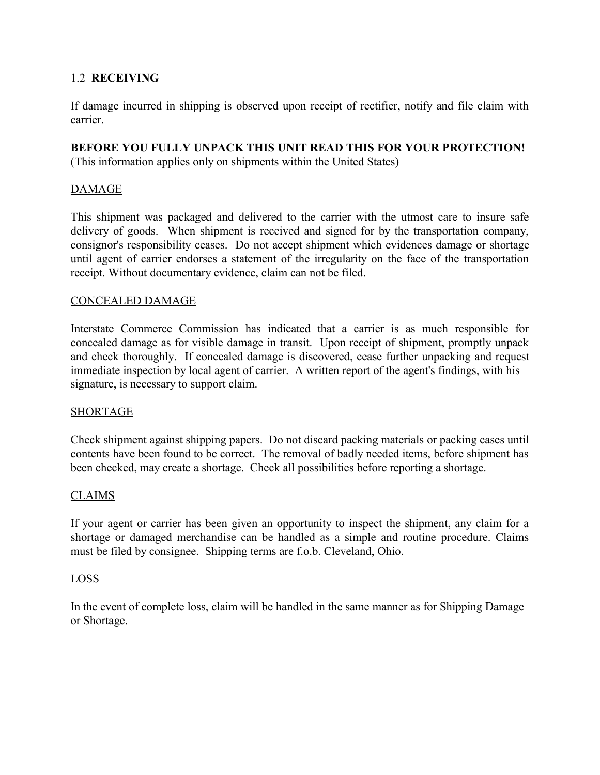## 1.2 **RECEIVING**

If damage incurred in shipping is observed upon receipt of rectifier, notify and file claim with carrier.

## **BEFORE YOU FULLY UNPACK THIS UNIT READ THIS FOR YOUR PROTECTION!**

(This information applies only on shipments within the United States)

## DAMAGE

This shipment was packaged and delivered to the carrier with the utmost care to insure safe delivery of goods. When shipment is received and signed for by the transportation company, consignor's responsibility ceases. Do not accept shipment which evidences damage or shortage until agent of carrier endorses a statement of the irregularity on the face of the transportation receipt. Without documentary evidence, claim can not be filed.

#### CONCEALED DAMAGE

Interstate Commerce Commission has indicated that a carrier is as much responsible for concealed damage as for visible damage in transit. Upon receipt of shipment, promptly unpack and check thoroughly. If concealed damage is discovered, cease further unpacking and request immediate inspection by local agent of carrier. A written report of the agent's findings, with his signature, is necessary to support claim.

## SHORTAGE

Check shipment against shipping papers. Do not discard packing materials or packing cases until contents have been found to be correct. The removal of badly needed items, before shipment has been checked, may create a shortage. Check all possibilities before reporting a shortage.

## CLAIMS

If your agent or carrier has been given an opportunity to inspect the shipment, any claim for a shortage or damaged merchandise can be handled as a simple and routine procedure. Claims must be filed by consignee. Shipping terms are f.o.b. Cleveland, Ohio.

## LOSS

In the event of complete loss, claim will be handled in the same manner as for Shipping Damage or Shortage.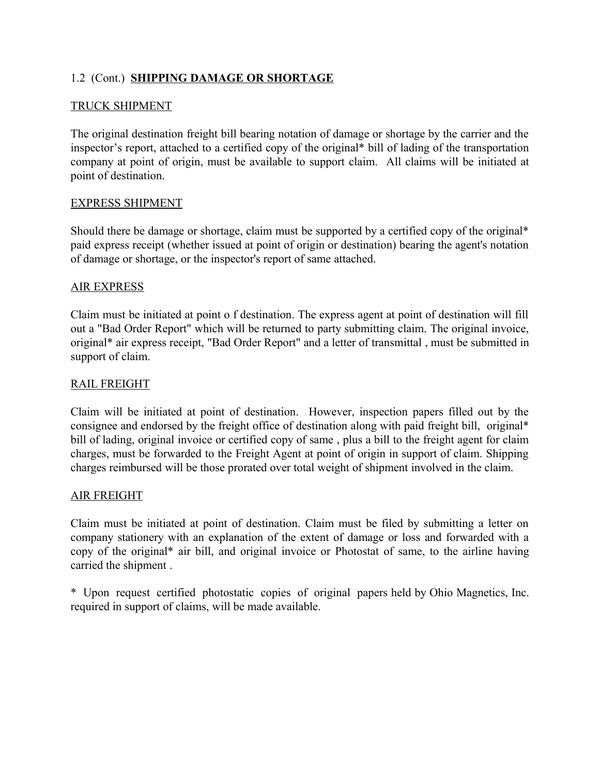## 1.2 (Cont.) **SHIPPING DAMAGE OR SHORTAGE**

#### TRUCK SHIPMENT

The original destination freight bill bearing notation of damage or shortage by the carrier and the inspector's report, attached to a certified copy of the original\* bill of lading of the transportation company at point of origin, must be available to support claim. All claims will be initiated at point of destination.

#### EXPRESS SHIPMENT

Should there be damage or shortage, claim must be supported by a certified copy of the original\* paid express receipt (whether issued at point of origin or destination) bearing the agent's notation of damage or shortage, or the inspector's report of same attached.

#### AIR EXPRESS

Claim must be initiated at point o f destination. The express agent at point of destination will fill out a "Bad Order Report" which will be returned to party submitting claim. The original invoice, original\* air express receipt, "Bad Order Report" and a letter of transmittal , must be submitted in support of claim.

#### RAIL FREIGHT

Claim will be initiated at point of destination. However, inspection papers filled out by the consignee and endorsed by the freight office of destination along with paid freight bill, original\* bill of lading, original invoice or certified copy of same , plus a bill to the freight agent for claim charges, must be forwarded to the Freight Agent at point of origin in support of claim. Shipping charges reimbursed will be those prorated over total weight of shipment involved in the claim.

#### AIR FREIGHT

Claim must be initiated at point of destination. Claim must be filed by submitting a letter on company stationery with an explanation of the extent of damage or loss and forwarded with a copy of the original\* air bill, and original invoice or Photostat of same, to the airline having carried the shipment .

\* Upon request certified photostatic copies of original papers held by Ohio Magnetics, Inc. required in support of claims, will be made available.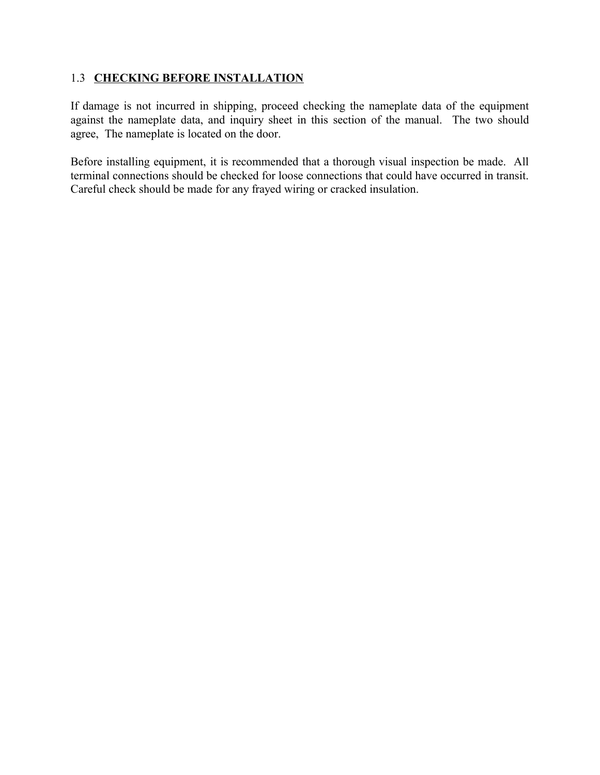## 1.3 **CHECKING BEFORE INSTALLATION**

If damage is not incurred in shipping, proceed checking the nameplate data of the equipment against the nameplate data, and inquiry sheet in this section of the manual. The two should agree, The nameplate is located on the door.

Before installing equipment, it is recommended that a thorough visual inspection be made. All terminal connections should be checked for loose connections that could have occurred in transit. Careful check should be made for any frayed wiring or cracked insulation.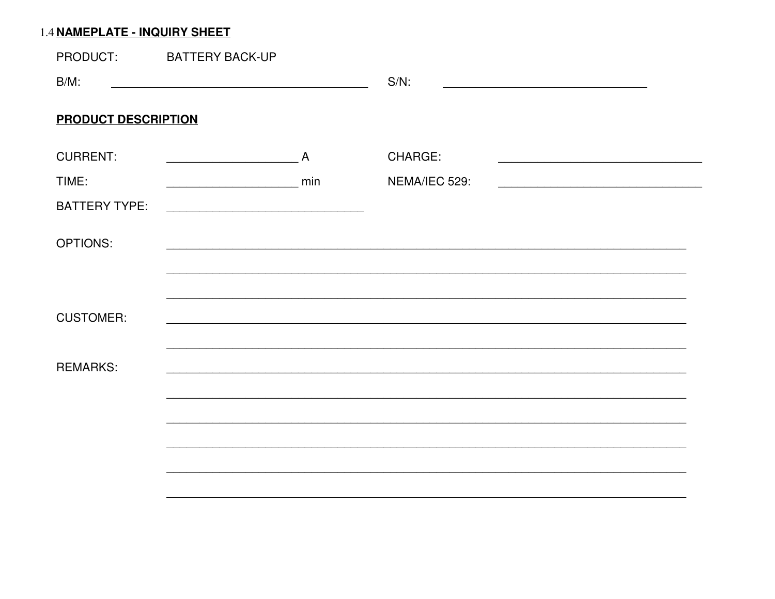## 1.4 NAMEPLATE - INQUIRY SHEET

| PRODUCT:                   | <b>BATTERY BACK-UP</b> |                |                                                                        |  |
|----------------------------|------------------------|----------------|------------------------------------------------------------------------|--|
| $B/M$ :                    |                        |                | $S/N$ :                                                                |  |
| <b>PRODUCT DESCRIPTION</b> |                        |                |                                                                        |  |
| <b>CURRENT:</b>            |                        | $\overline{A}$ | CHARGE:                                                                |  |
| TIME:                      |                        | min            | NEMA/IEC 529:<br><u> 1989 - Johann Stein, fransk politik (f. 1989)</u> |  |
| <b>BATTERY TYPE:</b>       |                        |                |                                                                        |  |
| <b>OPTIONS:</b>            |                        |                |                                                                        |  |
|                            |                        |                |                                                                        |  |
| <b>CUSTOMER:</b>           |                        |                |                                                                        |  |
| <b>REMARKS:</b>            |                        |                |                                                                        |  |
|                            |                        |                |                                                                        |  |
|                            |                        |                |                                                                        |  |
|                            |                        |                |                                                                        |  |
|                            |                        |                |                                                                        |  |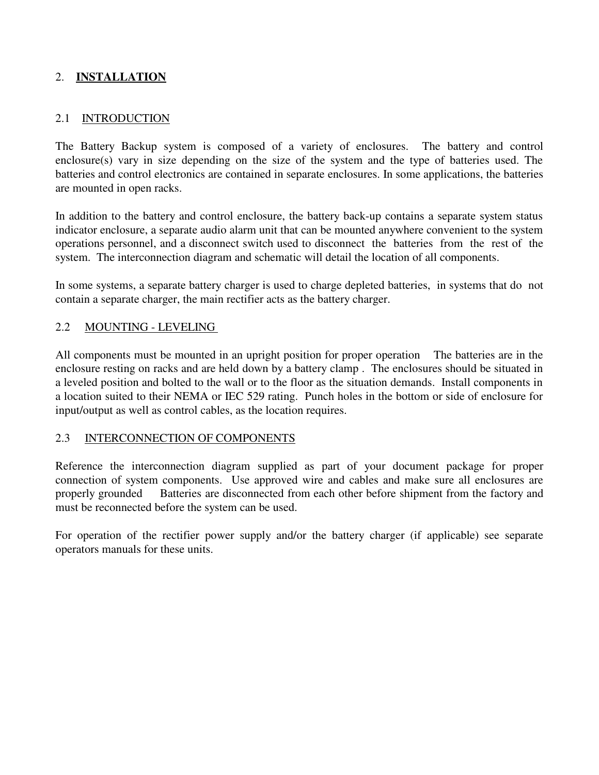## 2. **INSTALLATION**

#### 2.1 INTRODUCTION

The Battery Backup system is composed of a variety of enclosures. The battery and control enclosure(s) vary in size depending on the size of the system and the type of batteries used. The batteries and control electronics are contained in separate enclosures. In some applications, the batteries are mounted in open racks.

In addition to the battery and control enclosure, the battery back-up contains a separate system status indicator enclosure, a separate audio alarm unit that can be mounted anywhere convenient to the system operations personnel, and a disconnect switch used to disconnect the batteries from the rest of the system. The interconnection diagram and schematic will detail the location of all components.

In some systems, a separate battery charger is used to charge depleted batteries, in systems that do not contain a separate charger, the main rectifier acts as the battery charger.

#### 2.2 MOUNTING - LEVELING

All components must be mounted in an upright position for proper operation The batteries are in the enclosure resting on racks and are held down by a battery clamp . The enclosures should be situated in a leveled position and bolted to the wall or to the floor as the situation demands. Install components in a location suited to their NEMA or IEC 529 rating. Punch holes in the bottom or side of enclosure for input/output as well as control cables, as the location requires.

#### 2.3 INTERCONNECTION OF COMPONENTS

Reference the interconnection diagram supplied as part of your document package for proper connection of system components. Use approved wire and cables and make sure all enclosures are properly grounded Batteries are disconnected from each other before shipment from the factory and must be reconnected before the system can be used.

For operation of the rectifier power supply and/or the battery charger (if applicable) see separate operators manuals for these units.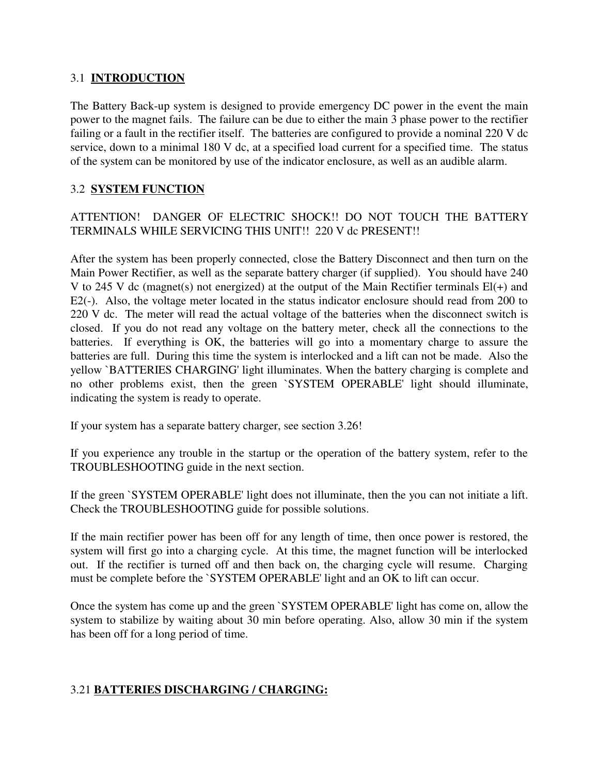## 3.1 **INTRODUCTION**

The Battery Back-up system is designed to provide emergency DC power in the event the main power to the magnet fails. The failure can be due to either the main 3 phase power to the rectifier failing or a fault in the rectifier itself. The batteries are configured to provide a nominal 220 V dc service, down to a minimal 180 V dc, at a specified load current for a specified time. The status of the system can be monitored by use of the indicator enclosure, as well as an audible alarm.

## 3.2 **SYSTEM FUNCTION**

ATTENTION! DANGER OF ELECTRIC SHOCK!! DO NOT TOUCH THE BATTERY TERMINALS WHILE SERVICING THIS UNIT!! 220 V dc PRESENT!!

After the system has been properly connected, close the Battery Disconnect and then turn on the Main Power Rectifier, as well as the separate battery charger (if supplied). You should have 240 V to 245 V dc (magnet(s) not energized) at the output of the Main Rectifier terminals El(+) and E2(-). Also, the voltage meter located in the status indicator enclosure should read from 200 to 220 V dc. The meter will read the actual voltage of the batteries when the disconnect switch is closed. If you do not read any voltage on the battery meter, check all the connections to the batteries. If everything is OK, the batteries will go into a momentary charge to assure the batteries are full. During this time the system is interlocked and a lift can not be made. Also the yellow `BATTERIES CHARGING' light illuminates. When the battery charging is complete and no other problems exist, then the green `SYSTEM OPERABLE' light should illuminate, indicating the system is ready to operate.

If your system has a separate battery charger, see section 3.26!

If you experience any trouble in the startup or the operation of the battery system, refer to the TROUBLESHOOTING guide in the next section.

If the green `SYSTEM OPERABLE' light does not illuminate, then the you can not initiate a lift. Check the TROUBLESHOOTING guide for possible solutions.

If the main rectifier power has been off for any length of time, then once power is restored, the system will first go into a charging cycle. At this time, the magnet function will be interlocked out. If the rectifier is turned off and then back on, the charging cycle will resume. Charging must be complete before the `SYSTEM OPERABLE' light and an OK to lift can occur.

Once the system has come up and the green `SYSTEM OPERABLE' light has come on, allow the system to stabilize by waiting about 30 min before operating. Also, allow 30 min if the system has been off for a long period of time.

## 3.21 **BATTERIES DISCHARGING / CHARGING:**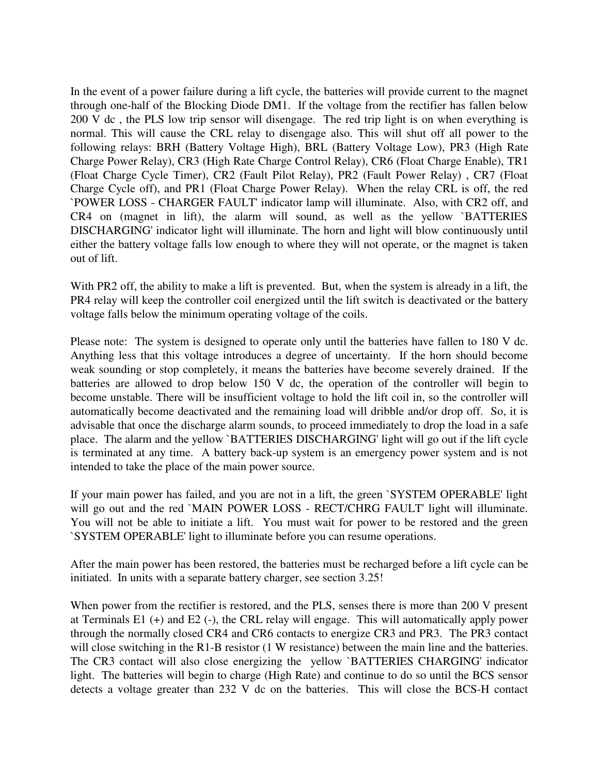In the event of a power failure during a lift cycle, the batteries will provide current to the magnet through one-half of the Blocking Diode DM1. If the voltage from the rectifier has fallen below 200 V dc , the PLS low trip sensor will disengage. The red trip light is on when everything is normal. This will cause the CRL relay to disengage also. This will shut off all power to the following relays: BRH (Battery Voltage High), BRL (Battery Voltage Low), PR3 (High Rate Charge Power Relay), CR3 (High Rate Charge Control Relay), CR6 (Float Charge Enable), TR1 (Float Charge Cycle Timer), CR2 (Fault Pilot Relay), PR2 (Fault Power Relay) , CR7 (Float Charge Cycle off), and PR1 (Float Charge Power Relay). When the relay CRL is off, the red `POWER LOSS - CHARGER FAULT' indicator lamp will illuminate. Also, with CR2 off, and CR4 on (magnet in lift), the alarm will sound, as well as the yellow `BATTERIES DISCHARGING' indicator light will illuminate. The horn and light will blow continuously until either the battery voltage falls low enough to where they will not operate, or the magnet is taken out of lift.

With PR2 off, the ability to make a lift is prevented. But, when the system is already in a lift, the PR4 relay will keep the controller coil energized until the lift switch is deactivated or the battery voltage falls below the minimum operating voltage of the coils.

Please note: The system is designed to operate only until the batteries have fallen to 180 V dc. Anything less that this voltage introduces a degree of uncertainty. If the horn should become weak sounding or stop completely, it means the batteries have become severely drained. If the batteries are allowed to drop below 150 V dc, the operation of the controller will begin to become unstable. There will be insufficient voltage to hold the lift coil in, so the controller will automatically become deactivated and the remaining load will dribble and/or drop off. So, it is advisable that once the discharge alarm sounds, to proceed immediately to drop the load in a safe place. The alarm and the yellow `BATTERIES DISCHARGING' light will go out if the lift cycle is terminated at any time. A battery back-up system is an emergency power system and is not intended to take the place of the main power source.

If your main power has failed, and you are not in a lift, the green `SYSTEM OPERABLE' light will go out and the red `MAIN POWER LOSS - RECT/CHRG FAULT' light will illuminate. You will not be able to initiate a lift. You must wait for power to be restored and the green `SYSTEM OPERABLE' light to illuminate before you can resume operations.

After the main power has been restored, the batteries must be recharged before a lift cycle can be initiated. In units with a separate battery charger, see section 3.25!

When power from the rectifier is restored, and the PLS, senses there is more than 200 V present at Terminals E1 (+) and E2 (-), the CRL relay will engage. This will automatically apply power through the normally closed CR4 and CR6 contacts to energize CR3 and PR3. The PR3 contact will close switching in the R1-B resistor (1 W resistance) between the main line and the batteries. The CR3 contact will also close energizing the yellow `BATTERIES CHARGING' indicator light. The batteries will begin to charge (High Rate) and continue to do so until the BCS sensor detects a voltage greater than 232 V dc on the batteries. This will close the BCS-H contact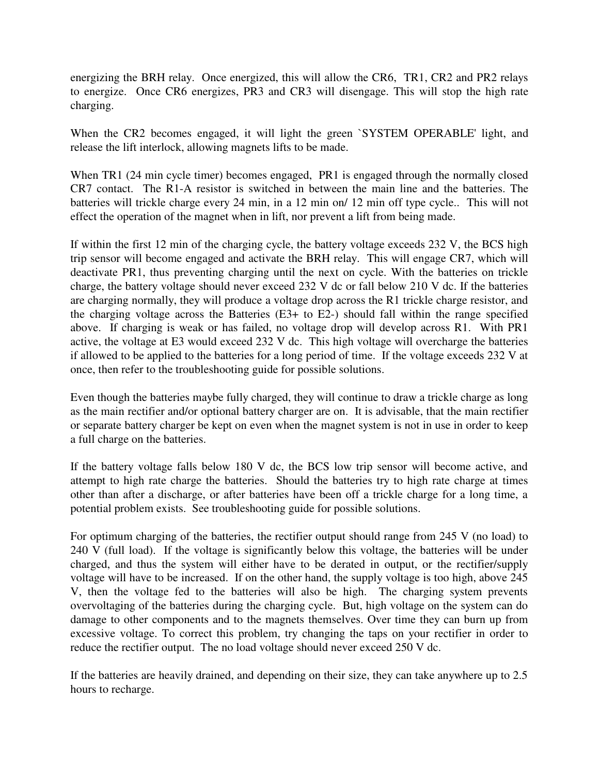energizing the BRH relay. Once energized, this will allow the CR6, TR1, CR2 and PR2 relays to energize. Once CR6 energizes, PR3 and CR3 will disengage. This will stop the high rate charging.

When the CR2 becomes engaged, it will light the green `SYSTEM OPERABLE' light, and release the lift interlock, allowing magnets lifts to be made.

When TR1 (24 min cycle timer) becomes engaged, PR1 is engaged through the normally closed CR7 contact. The R1-A resistor is switched in between the main line and the batteries. The batteries will trickle charge every 24 min, in a 12 min on/ 12 min off type cycle.. This will not effect the operation of the magnet when in lift, nor prevent a lift from being made.

If within the first 12 min of the charging cycle, the battery voltage exceeds 232 V, the BCS high trip sensor will become engaged and activate the BRH relay. This will engage CR7, which will deactivate PR1, thus preventing charging until the next on cycle. With the batteries on trickle charge, the battery voltage should never exceed 232 V dc or fall below 210 V dc. If the batteries are charging normally, they will produce a voltage drop across the R1 trickle charge resistor, and the charging voltage across the Batteries (E3+ to E2-) should fall within the range specified above. If charging is weak or has failed, no voltage drop will develop across R1. With PR1 active, the voltage at E3 would exceed 232 V dc. This high voltage will overcharge the batteries if allowed to be applied to the batteries for a long period of time. If the voltage exceeds 232 V at once, then refer to the troubleshooting guide for possible solutions.

Even though the batteries maybe fully charged, they will continue to draw a trickle charge as long as the main rectifier and/or optional battery charger are on. It is advisable, that the main rectifier or separate battery charger be kept on even when the magnet system is not in use in order to keep a full charge on the batteries.

If the battery voltage falls below 180 V dc, the BCS low trip sensor will become active, and attempt to high rate charge the batteries. Should the batteries try to high rate charge at times other than after a discharge, or after batteries have been off a trickle charge for a long time, a potential problem exists. See troubleshooting guide for possible solutions.

For optimum charging of the batteries, the rectifier output should range from 245 V (no load) to  $240 \text{ V}$  (full load). If the voltage is significantly below this voltage, the batteries will be under charged, and thus the system will either have to be derated in output, or the rectifier/supply voltage will have to be increased. If on the other hand, the supply voltage is too high, above 245 V, then the voltage fed to the batteries will also be high. The charging system prevents overvoltaging of the batteries during the charging cycle. But, high voltage on the system can do damage to other components and to the magnets themselves. Over time they can burn up from excessive voltage. To correct this problem, try changing the taps on your rectifier in order to reduce the rectifier output. The no load voltage should never exceed 250 V dc.

If the batteries are heavily drained, and depending on their size, they can take anywhere up to 2.5 hours to recharge.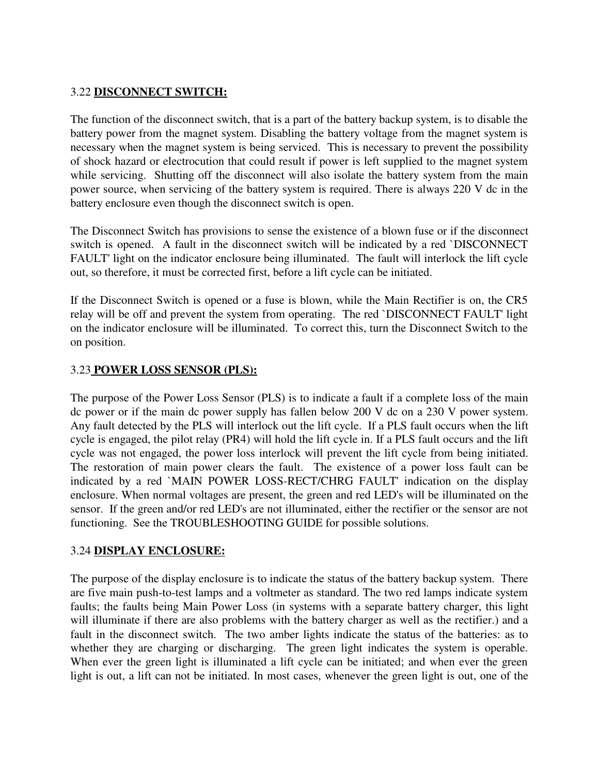## 3.22 **DISCONNECT SWITCH:**

The function of the disconnect switch, that is a part of the battery backup system, is to disable the battery power from the magnet system. Disabling the battery voltage from the magnet system is necessary when the magnet system is being serviced. This is necessary to prevent the possibility of shock hazard or electrocution that could result if power is left supplied to the magnet system while servicing. Shutting off the disconnect will also isolate the battery system from the main power source, when servicing of the battery system is required. There is always 220 V dc in the battery enclosure even though the disconnect switch is open.

The Disconnect Switch has provisions to sense the existence of a blown fuse or if the disconnect switch is opened. A fault in the disconnect switch will be indicated by a red `DISCONNECT FAULT' light on the indicator enclosure being illuminated. The fault will interlock the lift cycle out, so therefore, it must be corrected first, before a lift cycle can be initiated.

If the Disconnect Switch is opened or a fuse is blown, while the Main Rectifier is on, the CR5 relay will be off and prevent the system from operating. The red `DISCONNECT FAULT' light on the indicator enclosure will be illuminated. To correct this, turn the Disconnect Switch to the on position.

## 3.23 **POWER LOSS SENSOR (PLS):**

The purpose of the Power Loss Sensor (PLS) is to indicate a fault if a complete loss of the main dc power or if the main dc power supply has fallen below 200 V dc on a 230 V power system. Any fault detected by the PLS will interlock out the lift cycle. If a PLS fault occurs when the lift cycle is engaged, the pilot relay (PR4) will hold the lift cycle in. If a PLS fault occurs and the lift cycle was not engaged, the power loss interlock will prevent the lift cycle from being initiated. The restoration of main power clears the fault. The existence of a power loss fault can be indicated by a red `MAIN POWER LOSS-RECT/CHRG FAULT' indication on the display enclosure. When normal voltages are present, the green and red LED's will be illuminated on the sensor. If the green and/or red LED's are not illuminated, either the rectifier or the sensor are not functioning. See the TROUBLESHOOTING GUIDE for possible solutions.

## 3.24 **DISPLAY ENCLOSURE:**

The purpose of the display enclosure is to indicate the status of the battery backup system. There are five main push-to-test lamps and a voltmeter as standard. The two red lamps indicate system faults; the faults being Main Power Loss (in systems with a separate battery charger, this light will illuminate if there are also problems with the battery charger as well as the rectifier.) and a fault in the disconnect switch. The two amber lights indicate the status of the batteries: as to whether they are charging or discharging. The green light indicates the system is operable. When ever the green light is illuminated a lift cycle can be initiated; and when ever the green light is out, a lift can not be initiated. In most cases, whenever the green light is out, one of the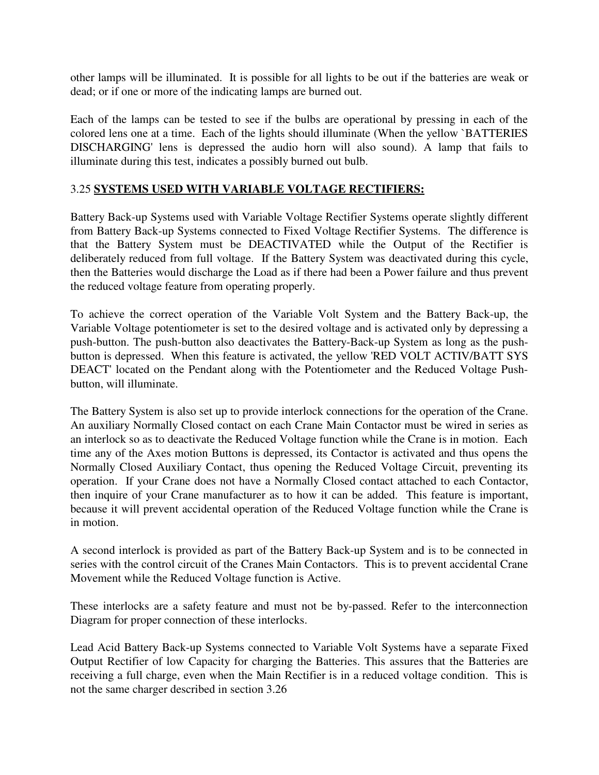other lamps will be illuminated. It is possible for all lights to be out if the batteries are weak or dead; or if one or more of the indicating lamps are burned out.

Each of the lamps can be tested to see if the bulbs are operational by pressing in each of the colored lens one at a time. Each of the lights should illuminate (When the yellow `BATTERIES DISCHARGING' lens is depressed the audio horn will also sound). A lamp that fails to illuminate during this test, indicates a possibly burned out bulb.

#### 3.25 **SYSTEMS USED WITH VARIABLE VOLTAGE RECTIFIERS:**

Battery Back-up Systems used with Variable Voltage Rectifier Systems operate slightly different from Battery Back-up Systems connected to Fixed Voltage Rectifier Systems. The difference is that the Battery System must be DEACTIVATED while the Output of the Rectifier is deliberately reduced from full voltage. If the Battery System was deactivated during this cycle, then the Batteries would discharge the Load as if there had been a Power failure and thus prevent the reduced voltage feature from operating properly.

To achieve the correct operation of the Variable Volt System and the Battery Back-up, the Variable Voltage potentiometer is set to the desired voltage and is activated only by depressing a push-button. The push-button also deactivates the Battery-Back-up System as long as the pushbutton is depressed. When this feature is activated, the yellow 'RED VOLT ACTIV/BATT SYS DEACT' located on the Pendant along with the Potentiometer and the Reduced Voltage Pushbutton, will illuminate.

The Battery System is also set up to provide interlock connections for the operation of the Crane. An auxiliary Normally Closed contact on each Crane Main Contactor must be wired in series as an interlock so as to deactivate the Reduced Voltage function while the Crane is in motion. Each time any of the Axes motion Buttons is depressed, its Contactor is activated and thus opens the Normally Closed Auxiliary Contact, thus opening the Reduced Voltage Circuit, preventing its operation. If your Crane does not have a Normally Closed contact attached to each Contactor, then inquire of your Crane manufacturer as to how it can be added. This feature is important, because it will prevent accidental operation of the Reduced Voltage function while the Crane is in motion.

A second interlock is provided as part of the Battery Back-up System and is to be connected in series with the control circuit of the Cranes Main Contactors. This is to prevent accidental Crane Movement while the Reduced Voltage function is Active.

These interlocks are a safety feature and must not be by-passed. Refer to the interconnection Diagram for proper connection of these interlocks.

Lead Acid Battery Back-up Systems connected to Variable Volt Systems have a separate Fixed Output Rectifier of low Capacity for charging the Batteries. This assures that the Batteries are receiving a full charge, even when the Main Rectifier is in a reduced voltage condition. This is not the same charger described in section 3.26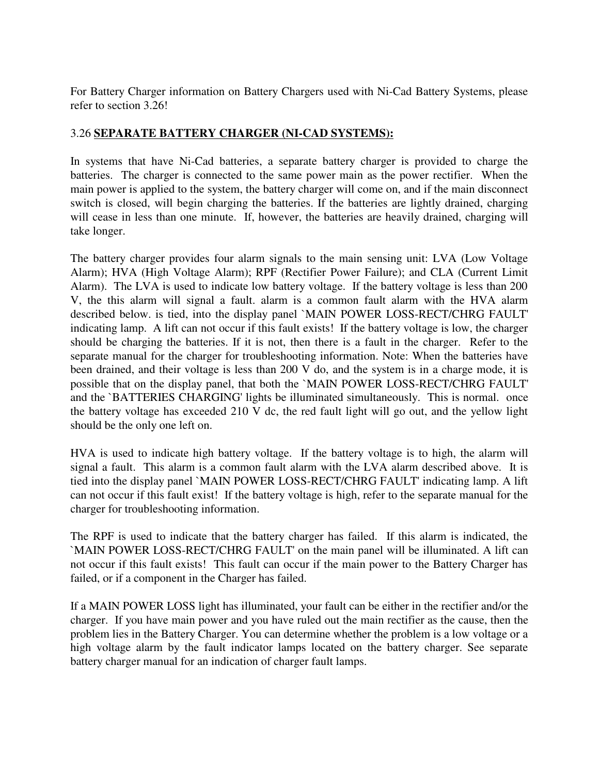For Battery Charger information on Battery Chargers used with Ni-Cad Battery Systems, please refer to section 3.26!

## 3.26 **SEPARATE BATTERY CHARGER (NI-CAD SYSTEMS):**

In systems that have Ni-Cad batteries, a separate battery charger is provided to charge the batteries. The charger is connected to the same power main as the power rectifier. When the main power is applied to the system, the battery charger will come on, and if the main disconnect switch is closed, will begin charging the batteries. If the batteries are lightly drained, charging will cease in less than one minute. If, however, the batteries are heavily drained, charging will take longer.

The battery charger provides four alarm signals to the main sensing unit: LVA (Low Voltage Alarm); HVA (High Voltage Alarm); RPF (Rectifier Power Failure); and CLA (Current Limit Alarm). The LVA is used to indicate low battery voltage. If the battery voltage is less than 200 V, the this alarm will signal a fault. alarm is a common fault alarm with the HVA alarm described below. is tied, into the display panel `MAIN POWER LOSS-RECT/CHRG FAULT' indicating lamp. A lift can not occur if this fault exists! If the battery voltage is low, the charger should be charging the batteries. If it is not, then there is a fault in the charger. Refer to the separate manual for the charger for troubleshooting information. Note: When the batteries have been drained, and their voltage is less than 200 V do, and the system is in a charge mode, it is possible that on the display panel, that both the `MAIN POWER LOSS-RECT/CHRG FAULT' and the `BATTERIES CHARGING' lights be illuminated simultaneously. This is normal. once the battery voltage has exceeded 210 V dc, the red fault light will go out, and the yellow light should be the only one left on.

HVA is used to indicate high battery voltage. If the battery voltage is to high, the alarm will signal a fault. This alarm is a common fault alarm with the LVA alarm described above. It is tied into the display panel `MAIN POWER LOSS-RECT/CHRG FAULT' indicating lamp. A lift can not occur if this fault exist! If the battery voltage is high, refer to the separate manual for the charger for troubleshooting information.

The RPF is used to indicate that the battery charger has failed. If this alarm is indicated, the `MAIN POWER LOSS-RECT/CHRG FAULT' on the main panel will be illuminated. A lift can not occur if this fault exists! This fault can occur if the main power to the Battery Charger has failed, or if a component in the Charger has failed.

If a MAIN POWER LOSS light has illuminated, your fault can be either in the rectifier and/or the charger. If you have main power and you have ruled out the main rectifier as the cause, then the problem lies in the Battery Charger. You can determine whether the problem is a low voltage or a high voltage alarm by the fault indicator lamps located on the battery charger. See separate battery charger manual for an indication of charger fault lamps.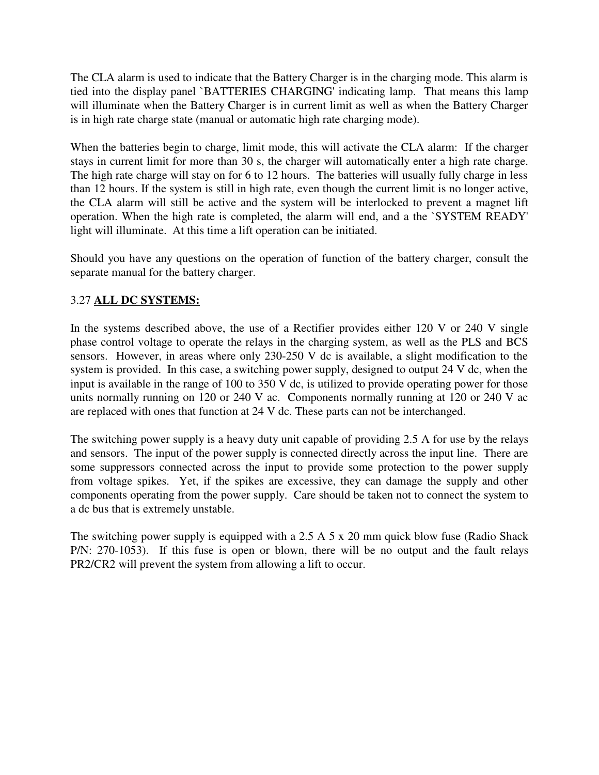The CLA alarm is used to indicate that the Battery Charger is in the charging mode. This alarm is tied into the display panel `BATTERIES CHARGING' indicating lamp. That means this lamp will illuminate when the Battery Charger is in current limit as well as when the Battery Charger is in high rate charge state (manual or automatic high rate charging mode).

When the batteries begin to charge, limit mode, this will activate the CLA alarm: If the charger stays in current limit for more than 30 s, the charger will automatically enter a high rate charge. The high rate charge will stay on for 6 to 12 hours. The batteries will usually fully charge in less than 12 hours. If the system is still in high rate, even though the current limit is no longer active, the CLA alarm will still be active and the system will be interlocked to prevent a magnet lift operation. When the high rate is completed, the alarm will end, and a the `SYSTEM READY' light will illuminate. At this time a lift operation can be initiated.

Should you have any questions on the operation of function of the battery charger, consult the separate manual for the battery charger.

## 3.27 **ALL DC SYSTEMS:**

In the systems described above, the use of a Rectifier provides either 120 V or 240 V single phase control voltage to operate the relays in the charging system, as well as the PLS and BCS sensors. However, in areas where only 230-250 V dc is available, a slight modification to the system is provided. In this case, a switching power supply, designed to output 24 V dc, when the input is available in the range of 100 to 350 V dc, is utilized to provide operating power for those units normally running on 120 or 240 V ac. Components normally running at 120 or 240 V ac are replaced with ones that function at 24 V dc. These parts can not be interchanged.

The switching power supply is a heavy duty unit capable of providing 2.5 A for use by the relays and sensors. The input of the power supply is connected directly across the input line. There are some suppressors connected across the input to provide some protection to the power supply from voltage spikes. Yet, if the spikes are excessive, they can damage the supply and other components operating from the power supply. Care should be taken not to connect the system to a dc bus that is extremely unstable.

The switching power supply is equipped with a 2.5 A 5 x 20 mm quick blow fuse (Radio Shack P/N: 270-1053). If this fuse is open or blown, there will be no output and the fault relays PR2/CR2 will prevent the system from allowing a lift to occur.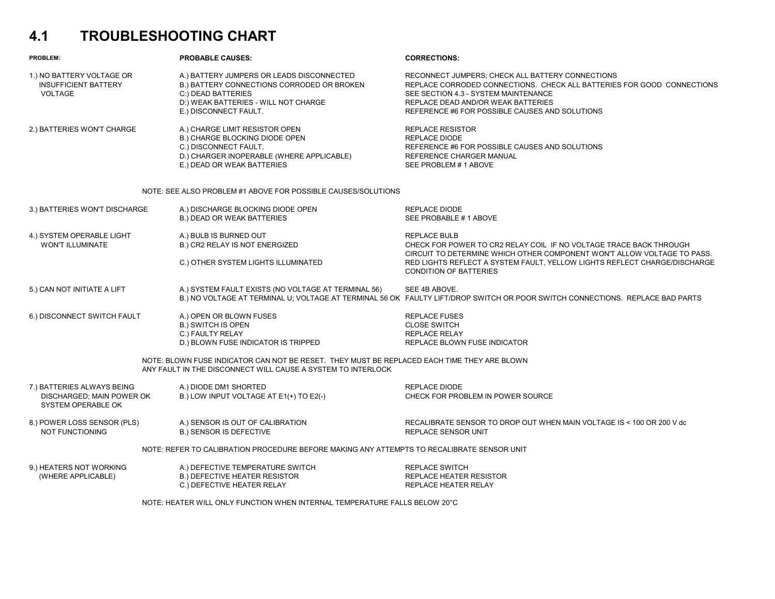## **4.1 TROUBLESHOOTING CHART**

| PROBLEM:                                                                                                                                                                                           | <b>PROBABLE CAUSES:</b>                                                                                                                                                        | <b>CORRECTIONS:</b>                                                                                                                                                                                                                                        |  |  |  |  |
|----------------------------------------------------------------------------------------------------------------------------------------------------------------------------------------------------|--------------------------------------------------------------------------------------------------------------------------------------------------------------------------------|------------------------------------------------------------------------------------------------------------------------------------------------------------------------------------------------------------------------------------------------------------|--|--|--|--|
| 1.) NO BATTERY VOLTAGE OR<br><b>INSUFFICIENT BATTERY</b><br><b>VOLTAGE</b>                                                                                                                         | A.) BATTERY JUMPERS OR LEADS DISCONNECTED<br>B.) BATTERY CONNECTIONS CORRODED OR BROKEN<br>C:) DEAD BATTERIES<br>D:) WEAK BATTERIES - WILL NOT CHARGE<br>E.) DISCONNECT FAULT. | RECONNECT JUMPERS; CHECK ALL BATTERY CONNECTIONS<br>REPLACE CORRODED CONNECTIONS. CHECK ALL BATTERIES FOR GOOD CONNECTIONS<br>SEE SECTION 4.3 - SYSTEM MAINTENANCE<br>REPLACE DEAD AND/OR WEAK BATTERIES<br>REFERENCE #6 FOR POSSIBLE CAUSES AND SOLUTIONS |  |  |  |  |
| 2.) BATTERIES WON'T CHARGE                                                                                                                                                                         | A.) CHARGE LIMIT RESISTOR OPEN<br>B.) CHARGE BLOCKING DIODE OPEN<br>C.) DISCONNECT FAULT.<br>D.) CHARGER INOPERABLE (WHERE APPLICABLE)<br>E.) DEAD OR WEAK BATTERIES           | <b>REPLACE RESISTOR</b><br><b>REPLACE DIODE</b><br>REFERENCE #6 FOR POSSIBLE CAUSES AND SOLUTIONS<br>REFERENCE CHARGER MANUAL<br>SEE PROBLEM # 1 ABOVE                                                                                                     |  |  |  |  |
| NOTE: SEE ALSO PROBLEM #1 ABOVE FOR POSSIBLE CAUSES/SOLUTIONS                                                                                                                                      |                                                                                                                                                                                |                                                                                                                                                                                                                                                            |  |  |  |  |
| 3.) BATTERIES WON'T DISCHARGE                                                                                                                                                                      | A.) DISCHARGE BLOCKING DIODE OPEN<br><b>B.) DEAD OR WEAK BATTERIES</b>                                                                                                         | <b>REPLACE DIODE</b><br>SEE PROBABLE #1 ABOVE                                                                                                                                                                                                              |  |  |  |  |
| 4.) SYSTEM OPERABLE LIGHT<br><b>WON'T ILLUMINATE</b>                                                                                                                                               | A.) BULB IS BURNED OUT<br>B.) CR2 RELAY IS NOT ENERGIZED                                                                                                                       | <b>REPLACE BULB</b><br>CHECK FOR POWER TO CR2 RELAY COIL IF NO VOLTAGE TRACE BACK THROUGH<br>CIRCUIT TO DETERMINE WHICH OTHER COMPONENT WON'T ALLOW VOLTAGE TO PASS.                                                                                       |  |  |  |  |
|                                                                                                                                                                                                    | C.) OTHER SYSTEM LIGHTS ILLUMINATED                                                                                                                                            | RED LIGHTS REFLECT A SYSTEM FAULT, YELLOW LIGHTS REFLECT CHARGE/DISCHARGE<br><b>CONDITION OF BATTERIES</b>                                                                                                                                                 |  |  |  |  |
| 5.) CAN NOT INITIATE A LIFT                                                                                                                                                                        | A.) SYSTEM FAULT EXISTS (NO VOLTAGE AT TERMINAL 56)                                                                                                                            | SEE 4B ABOVE.<br>B.) NO VOLTAGE AT TERMINAL U; VOLTAGE AT TERMINAL 56 OK FAULTY LIFT/DROP SWITCH OR POOR SWITCH CONNECTIONS. REPLACE BAD PARTS                                                                                                             |  |  |  |  |
| 6.) DISCONNECT SWITCH FAULT                                                                                                                                                                        | A.) OPEN OR BLOWN FUSES<br><b>B.) SWITCH IS OPEN</b><br>C.) FAULTY RELAY                                                                                                       | <b>REPLACE FUSES</b><br><b>CLOSE SWITCH</b><br><b>REPLACE RELAY</b><br>REPLACE BLOWN FUSE INDICATOR                                                                                                                                                        |  |  |  |  |
| D.) BLOWN FUSE INDICATOR IS TRIPPED<br>NOTE: BLOWN FUSE INDICATOR CAN NOT BE RESET. THEY MUST BE REPLACED EACH TIME THEY ARE BLOWN<br>ANY FAULT IN THE DISCONNECT WILL CAUSE A SYSTEM TO INTERLOCK |                                                                                                                                                                                |                                                                                                                                                                                                                                                            |  |  |  |  |
| 7.) BATTERIES ALWAYS BEING<br>DISCHARGED; MAIN POWER OK<br>SYSTEM OPERABLE OK                                                                                                                      | A.) DIODE DM1 SHORTED<br>B.) LOW INPUT VOLTAGE AT $E1(+)$ TO $E2(-)$                                                                                                           | <b>REPLACE DIODE</b><br>CHECK FOR PROBLEM IN POWER SOURCE                                                                                                                                                                                                  |  |  |  |  |
| 8.) POWER LOSS SENSOR (PLS)<br><b>NOT FUNCTIONING</b>                                                                                                                                              | A.) SENSOR IS OUT OF CALIBRATION<br><b>B.) SENSOR IS DEFECTIVE</b>                                                                                                             | RECALIBRATE SENSOR TO DROP OUT WHEN MAIN VOLTAGE IS < 100 OR 200 V dc<br>REPLACE SENSOR UNIT                                                                                                                                                               |  |  |  |  |
| NOTE: REFER TO CALIBRATION PROCEDURE BEFORE MAKING ANY ATTEMPTS TO RECALIBRATE SENSOR UNIT                                                                                                         |                                                                                                                                                                                |                                                                                                                                                                                                                                                            |  |  |  |  |
| 9.) HEATERS NOT WORKING<br>(WHERE APPLICABLE)                                                                                                                                                      | A.) DEFECTIVE TEMPERATURE SWITCH<br><b>B.) DEFECTIVE HEATER RESISTOR</b><br>C.) DEFECTIVE HEATER RELAY                                                                         | <b>REPLACE SWITCH</b><br>REPLACE HEATER RESISTOR<br><b>REPLACE HEATER RELAY</b>                                                                                                                                                                            |  |  |  |  |

NOTE: HEATER WILL ONLY FUNCTION WHEN INTERNAL TEMPERATURE FALLS BELOW 20°C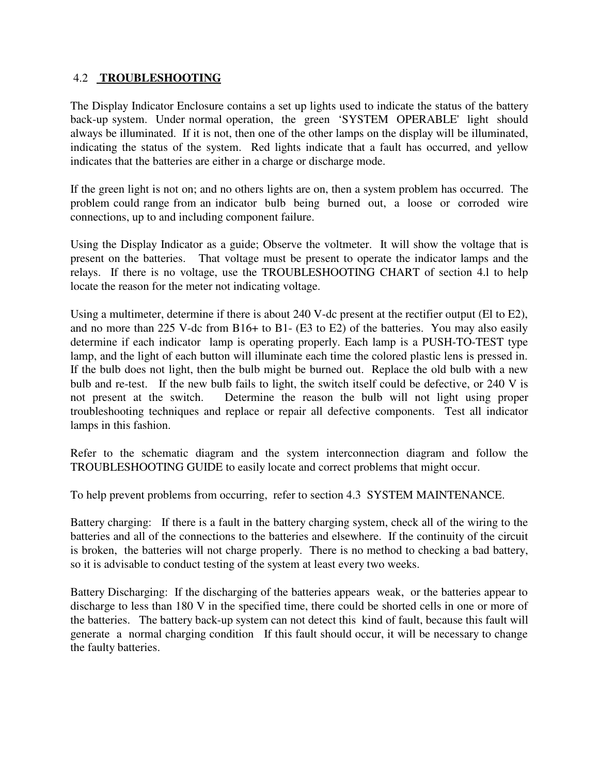#### 4.2 **TROUBLESHOOTING**

The Display Indicator Enclosure contains a set up lights used to indicate the status of the battery back-up system. Under normal operation, the green 'SYSTEM OPERABLE' light should always be illuminated. If it is not, then one of the other lamps on the display will be illuminated, indicating the status of the system. Red lights indicate that a fault has occurred, and yellow indicates that the batteries are either in a charge or discharge mode.

If the green light is not on; and no others lights are on, then a system problem has occurred. The problem could range from an indicator bulb being burned out, a loose or corroded wire connections, up to and including component failure.

Using the Display Indicator as a guide; Observe the voltmeter. It will show the voltage that is present on the batteries. That voltage must be present to operate the indicator lamps and the relays. If there is no voltage, use the TROUBLESHOOTING CHART of section 4.l to help locate the reason for the meter not indicating voltage.

Using a multimeter, determine if there is about 240 V-dc present at the rectifier output (El to E2), and no more than 225 V-dc from B16+ to B1- (E3 to E2) of the batteries. You may also easily determine if each indicator lamp is operating properly. Each lamp is a PUSH-TO-TEST type lamp, and the light of each button will illuminate each time the colored plastic lens is pressed in. If the bulb does not light, then the bulb might be burned out. Replace the old bulb with a new bulb and re-test. If the new bulb fails to light, the switch itself could be defective, or 240 V is not present at the switch. Determine the reason the bulb will not light using proper troubleshooting techniques and replace or repair all defective components. Test all indicator lamps in this fashion.

Refer to the schematic diagram and the system interconnection diagram and follow the TROUBLESHOOTING GUIDE to easily locate and correct problems that might occur.

To help prevent problems from occurring, refer to section 4.3 SYSTEM MAINTENANCE.

Battery charging: If there is a fault in the battery charging system, check all of the wiring to the batteries and all of the connections to the batteries and elsewhere. If the continuity of the circuit is broken, the batteries will not charge properly. There is no method to checking a bad battery, so it is advisable to conduct testing of the system at least every two weeks.

Battery Discharging: If the discharging of the batteries appears weak, or the batteries appear to discharge to less than 180 V in the specified time, there could be shorted cells in one or more of the batteries. The battery back-up system can not detect this kind of fault, because this fault will generate a normal charging condition If this fault should occur, it will be necessary to change the faulty batteries.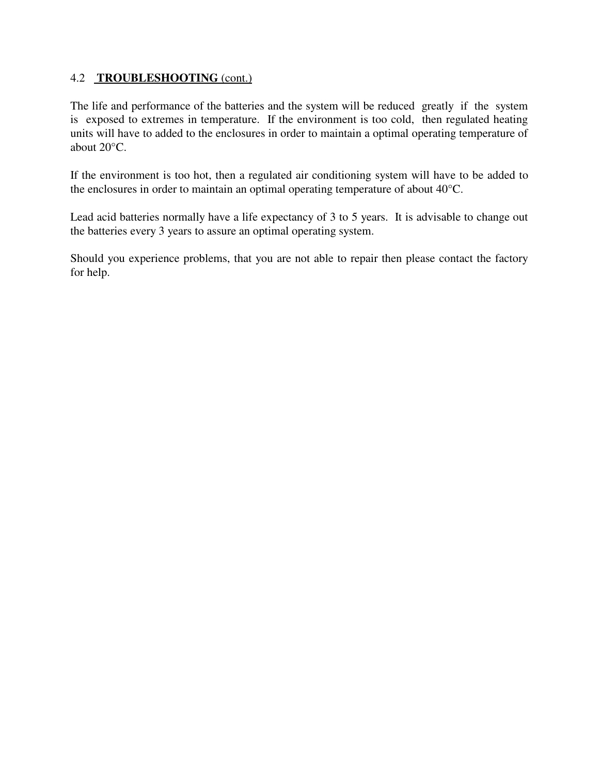#### 4.2 **TROUBLESHOOTING** (cont.)

The life and performance of the batteries and the system will be reduced greatly if the system is exposed to extremes in temperature. If the environment is too cold, then regulated heating units will have to added to the enclosures in order to maintain a optimal operating temperature of about 20°C.

If the environment is too hot, then a regulated air conditioning system will have to be added to the enclosures in order to maintain an optimal operating temperature of about 40°C.

Lead acid batteries normally have a life expectancy of 3 to 5 years. It is advisable to change out the batteries every 3 years to assure an optimal operating system.

Should you experience problems, that you are not able to repair then please contact the factory for help.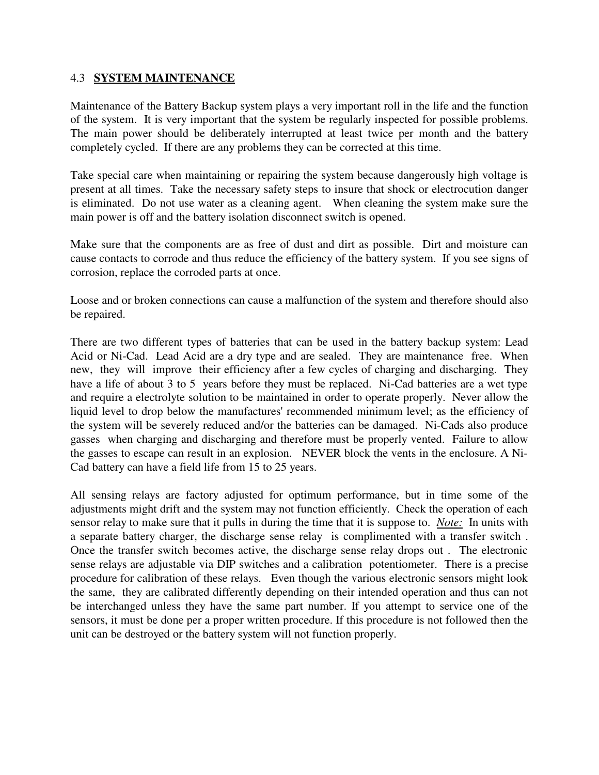#### 4.3 **SYSTEM MAINTENANCE**

Maintenance of the Battery Backup system plays a very important roll in the life and the function of the system. It is very important that the system be regularly inspected for possible problems. The main power should be deliberately interrupted at least twice per month and the battery completely cycled. If there are any problems they can be corrected at this time.

Take special care when maintaining or repairing the system because dangerously high voltage is present at all times. Take the necessary safety steps to insure that shock or electrocution danger is eliminated. Do not use water as a cleaning agent. When cleaning the system make sure the main power is off and the battery isolation disconnect switch is opened.

Make sure that the components are as free of dust and dirt as possible. Dirt and moisture can cause contacts to corrode and thus reduce the efficiency of the battery system. If you see signs of corrosion, replace the corroded parts at once.

Loose and or broken connections can cause a malfunction of the system and therefore should also be repaired.

There are two different types of batteries that can be used in the battery backup system: Lead Acid or Ni-Cad. Lead Acid are a dry type and are sealed. They are maintenance free. When new, they will improve their efficiency after a few cycles of charging and discharging. They have a life of about 3 to 5 years before they must be replaced. Ni-Cad batteries are a wet type and require a electrolyte solution to be maintained in order to operate properly. Never allow the liquid level to drop below the manufactures' recommended minimum level; as the efficiency of the system will be severely reduced and/or the batteries can be damaged. Ni-Cads also produce gasses when charging and discharging and therefore must be properly vented. Failure to allow the gasses to escape can result in an explosion. NEVER block the vents in the enclosure. A Ni-Cad battery can have a field life from 15 to 25 years.

All sensing relays are factory adjusted for optimum performance, but in time some of the adjustments might drift and the system may not function efficiently. Check the operation of each sensor relay to make sure that it pulls in during the time that it is suppose to. *Note:* In units with a separate battery charger, the discharge sense relay is complimented with a transfer switch . Once the transfer switch becomes active, the discharge sense relay drops out . The electronic sense relays are adjustable via DIP switches and a calibration potentiometer. There is a precise procedure for calibration of these relays. Even though the various electronic sensors might look the same, they are calibrated differently depending on their intended operation and thus can not be interchanged unless they have the same part number. If you attempt to service one of the sensors, it must be done per a proper written procedure. If this procedure is not followed then the unit can be destroyed or the battery system will not function properly.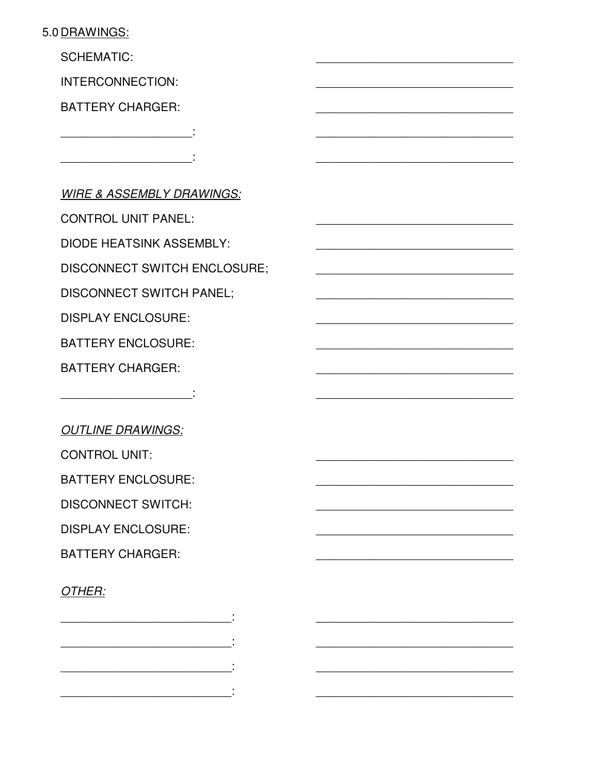## 5.0 DRAWINGS:

**SCHEMATIC:** 

INTERCONNECTION:

**BATTERY CHARGER:** 

the control of the control of the

**WIRE & ASSEMBLY DRAWINGS:** 

**CONTROL UNIT PANEL:** 

**DIODE HEATSINK ASSEMBLY:** 

**DISCONNECT SWITCH ENCLOSURE;** 

**DISCONNECT SWITCH PANEL:** 

and the state of the state of

**DISPLAY ENCLOSURE:** 

**BATTERY ENCLOSURE:** 

**BATTERY CHARGER:** 

**OUTLINE DRAWINGS:** 

**CONTROL UNIT:** 

**BATTERY ENCLOSURE:** 

**DISCONNECT SWITCH:** 

**DISPLAY ENCLOSURE:** 

**BATTERY CHARGER:** 

## OTHER: